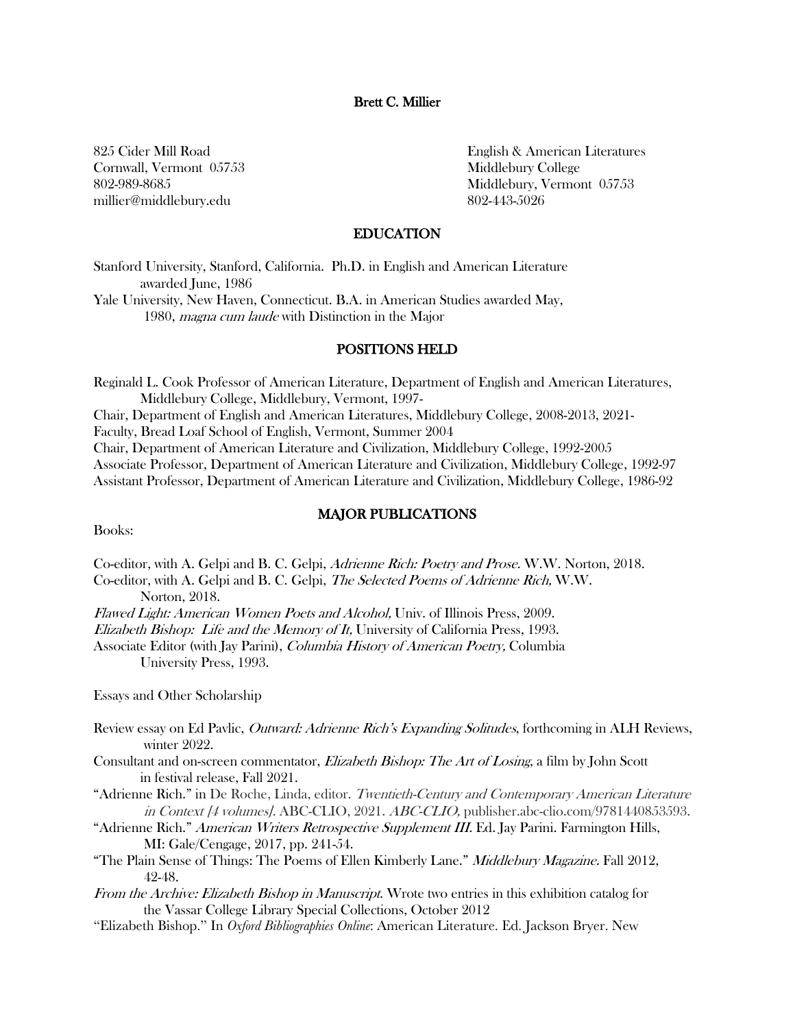#### Brett C. Millier

Cornwall, Vermont 05753 Middlebury College millier@middlebury.edu 802-443-5026

825 Cider Mill Road **English & American Literatures** 802-989-8685 Middlebury, Vermont 05753

#### EDUCATION

Stanford University, Stanford, California. Ph.D. in English and American Literature awarded June, 1986 Yale University, New Haven, Connecticut. B.A. in American Studies awarded May, 1980, magna cum laude with Distinction in the Major

### POSITIONS HELD

Reginald L. Cook Professor of American Literature, Department of English and American Literatures, Middlebury College, Middlebury, Vermont, 1997- Chair, Department of English and American Literatures, Middlebury College, 2008-2013, 2021- Faculty, Bread Loaf School of English, Vermont, Summer 2004 Chair, Department of American Literature and Civilization, Middlebury College, 1992-2005 Associate Professor, Department of American Literature and Civilization, Middlebury College, 1992-97 Assistant Professor, Department of American Literature and Civilization, Middlebury College, 1986-92

# MAJOR PUBLICATIONS

Books:

Co-editor, with A. Gelpi and B. C. Gelpi, Adrienne Rich: Poetry and Prose. W.W. Norton, 2018.

Co-editor, with A. Gelpi and B. C. Gelpi, The Selected Poems of Adrienne Rich, W.W. Norton, 2018.

Flawed Light: American Women Poets and Alcohol, Univ. of Illinois Press, 2009.

Elizabeth Bishop: Life and the Memory of It, University of California Press, 1993.

Associate Editor (with Jay Parini), Columbia History of American Poetry, Columbia University Press, 1993.

Essays and Other Scholarship

- Review essay on Ed Pavlic, *Outward: Adrienne Rich's Expanding Solitudes*, forthcoming in ALH Reviews, winter 2022.
- Consultant and on-screen commentator, Elizabeth Bishop: The Art of Losing, a film by John Scott in festival release, Fall 2021.
- "Adrienne Rich." in De Roche, Linda, editor. Twentieth-Century and Contemporary American Literature in Context [4 volumes]. ABC-CLIO, 2021. ABC-CLIO, publisher.abc-clio.com/9781440853593.
- "Adrienne Rich." American Writers Retrospective Supplement III. Ed. Jay Parini. Farmington Hills, MI: Gale/Cengage, 2017, pp. 241-54.
- "The Plain Sense of Things: The Poems of Ellen Kimberly Lane." *Middlebury Magazine.* Fall 2012, 42-48.
- From the Archive: Elizabeth Bishop in Manuscript. Wrote two entries in this exhibition catalog for the Vassar College Library Special Collections, October 2012
- "Elizabeth Bishop." In *Oxford Bibliographies Online*: American Literature. Ed. Jackson Bryer. New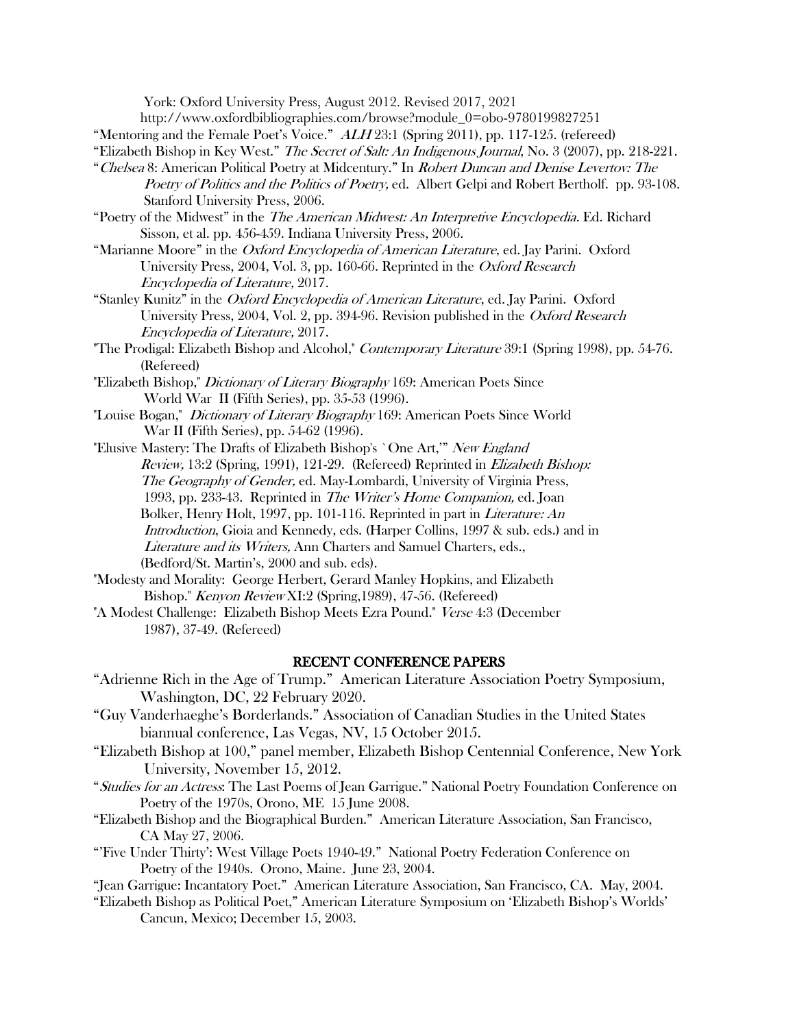York: Oxford University Press, August 2012. Revised 2017, 2021

http://www.oxfordbibliographies.com/browse?module\_0=obo-9780199827251

"Mentoring and the Female Poet's Voice."  $ALH23:1$  (Spring 2011), pp. 117-125. (refereed)

"Elizabeth Bishop in Key West." The Secret of Salt: An Indigenous Journal, No. 3 (2007), pp. 218-221.

- "Chelsea 8: American Political Poetry at Midcentury." In Robert Duncan and Denise Levertov: The Poetry of Politics and the Politics of Poetry, ed. Albert Gelpi and Robert Bertholf. pp. 93-108. Stanford University Press, 2006.
- "Poetry of the Midwest" in the *The American Midwest: An Interpretive Encyclopedia*. Ed. Richard Sisson, et al. pp. 456-459. Indiana University Press, 2006.
- "Marianne Moore" in the Oxford Encyclopedia of American Literature, ed. Jay Parini. Oxford University Press, 2004, Vol. 3, pp. 160-66. Reprinted in the Oxford Research Encyclopedia of Literature, 2017.
- "Stanley Kunitz" in the Oxford Encyclopedia of American Literature, ed. Jay Parini. Oxford University Press, 2004, Vol. 2, pp. 394-96. Revision published in the Oxford Research Encyclopedia of Literature, 2017.
- "The Prodigal: Elizabeth Bishop and Alcohol," Contemporary Literature 39:1 (Spring 1998), pp. 54-76. (Refereed)
- "Elizabeth Bishop," Dictionary of Literary Biography 169: American Poets Since World War II (Fifth Series), pp. 35-53 (1996).
- "Louise Bogan," *Dictionary of Literary Biography* 169: American Poets Since World War II (Fifth Series), pp. 54-62 (1996).
- "Elusive Mastery: The Drafts of Elizabeth Bishop's `One Art," New England Review, 13:2 (Spring, 1991), 121-29. (Refereed) Reprinted in Elizabeth Bishop: The Geography of Gender, ed. May-Lombardi, University of Virginia Press, 1993, pp. 233-43. Reprinted in The Writer's Home Companion, ed. Joan Bolker, Henry Holt, 1997, pp. 101-116. Reprinted in part in Literature: An Introduction, Gioia and Kennedy, eds. (Harper Collins, 1997 & sub. eds.) and in Literature and its Writers, Ann Charters and Samuel Charters, eds., (Bedford/St. Martin's, 2000 and sub. eds).
- "Modesty and Morality: George Herbert, Gerard Manley Hopkins, and Elizabeth Bishop." Kenyon Review XI:2 (Spring,1989), 47-56. (Refereed)
- "A Modest Challenge: Elizabeth Bishop Meets Ezra Pound." Verse 4:3 (December 1987), 37-49. (Refereed)

### RECENT CONFERENCE PAPERS

- "Adrienne Rich in the Age of Trump." American Literature Association Poetry Symposium, Washington, DC, 22 February 2020.
- "Guy Vanderhaeghe's Borderlands." Association of Canadian Studies in the United States biannual conference, Las Vegas, NV, 15 October 2015.
- "Elizabeth Bishop at 100," panel member, Elizabeth Bishop Centennial Conference, New York University, November 15, 2012.
- "Studies for an Actress: The Last Poems of Jean Garrigue." National Poetry Foundation Conference on Poetry of the 1970s, Orono, ME 15 June 2008.
- "Elizabeth Bishop and the Biographical Burden." American Literature Association, San Francisco, CA May 27, 2006.
- "'Five Under Thirty': West Village Poets 1940-49." National Poetry Federation Conference on Poetry of the 1940s. Orono, Maine. June 23, 2004.
- "Jean Garrigue: Incantatory Poet." American Literature Association, San Francisco, CA. May, 2004.
- "Elizabeth Bishop as Political Poet," American Literature Symposium on 'Elizabeth Bishop's Worlds' Cancun, Mexico; December 15, 2003.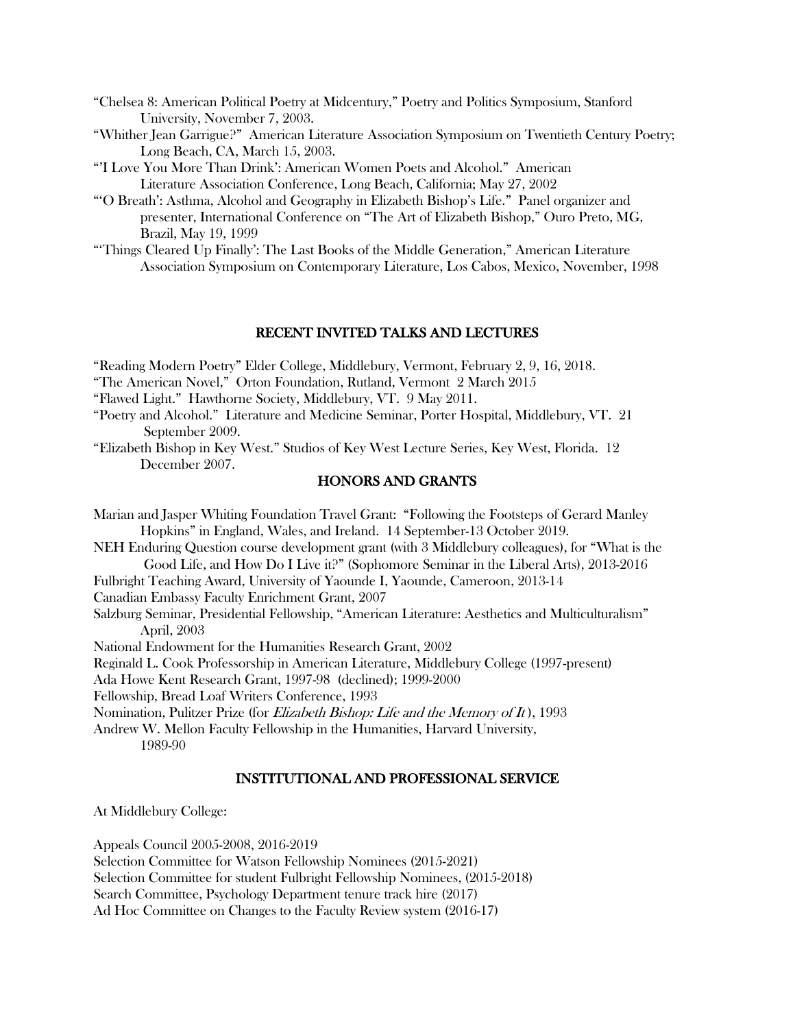- "Chelsea 8: American Political Poetry at Midcentury," Poetry and Politics Symposium, Stanford University, November 7, 2003.
- "Whither Jean Garrigue?" American Literature Association Symposium on Twentieth Century Poetry; Long Beach, CA, March 15, 2003.
- "'I Love You More Than Drink': American Women Poets and Alcohol." American Literature Association Conference, Long Beach, California; May 27, 2002
- "'O Breath': Asthma, Alcohol and Geography in Elizabeth Bishop's Life." Panel organizer and presenter, International Conference on "The Art of Elizabeth Bishop," Ouro Preto, MG, Brazil, May 19, 1999
- "'Things Cleared Up Finally': The Last Books of the Middle Generation," American Literature Association Symposium on Contemporary Literature, Los Cabos, Mexico, November, 1998

## RECENT INVITED TALKS AND LECTURES

"Reading Modern Poetry" Elder College, Middlebury, Vermont, February 2, 9, 16, 2018.

- "The American Novel," Orton Foundation, Rutland, Vermont 2 March 2015
- "Flawed Light." Hawthorne Society, Middlebury, VT. 9 May 2011.
- "Poetry and Alcohol." Literature and Medicine Seminar, Porter Hospital, Middlebury, VT. 21 September 2009.
- "Elizabeth Bishop in Key West." Studios of Key West Lecture Series, Key West, Florida. 12 December 2007.

# HONORS AND GRANTS

Marian and Jasper Whiting Foundation Travel Grant: "Following the Footsteps of Gerard Manley Hopkins" in England, Wales, and Ireland. 14 September-13 October 2019. NEH Enduring Question course development grant (with 3 Middlebury colleagues), for "What is the Good Life, and How Do I Live it?" (Sophomore Seminar in the Liberal Arts), 2013-2016 Fulbright Teaching Award, University of Yaounde I, Yaounde, Cameroon, 2013-14 Canadian Embassy Faculty Enrichment Grant, 2007 Salzburg Seminar, Presidential Fellowship, "American Literature: Aesthetics and Multiculturalism" April, 2003 National Endowment for the Humanities Research Grant, 2002 Reginald L. Cook Professorship in American Literature, Middlebury College (1997-present) Ada Howe Kent Research Grant, 1997-98 (declined); 1999-2000 Fellowship, Bread Loaf Writers Conference, 1993 Nomination, Pulitzer Prize (for *Elizabeth Bishop: Life and the Memory of It*), 1993 Andrew W. Mellon Faculty Fellowship in the Humanities, Harvard University, 1989-90

### INSTITUTIONAL AND PROFESSIONAL SERVICE

At Middlebury College:

Appeals Council 2005-2008, 2016-2019

Selection Committee for Watson Fellowship Nominees (2015-2021)

Selection Committee for student Fulbright Fellowship Nominees, (2015-2018)

Search Committee, Psychology Department tenure track hire (2017)

Ad Hoc Committee on Changes to the Faculty Review system (2016-17)